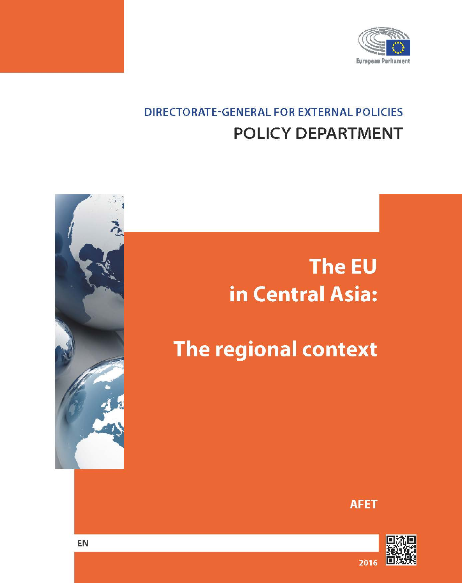

## **DIRECTORATE-GENERAL FOR EXTERNAL POLICIES POLICY DEPARTMENT**

# The EU in Central Asia:

## The regional context

**AFET** 



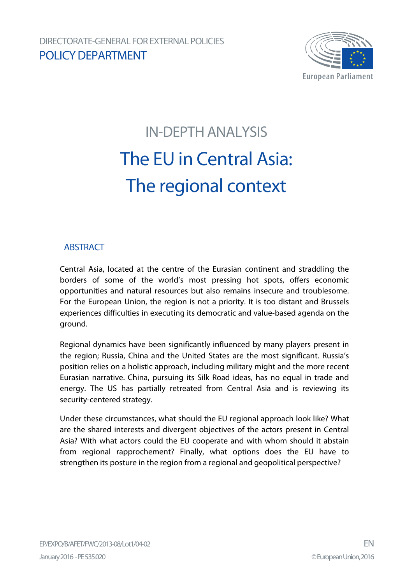

# IN-DEPTH ANALYSIS The EU in Central Asia: The regional context

### **ABSTRACT**

Central Asia, located at the centre of the Eurasian continent and straddling the borders of some of the world's most pressing hot spots, offers economic opportunities and natural resources but also remains insecure and troublesome. For the European Union, the region is not a priority. It is too distant and Brussels experiences difficulties in executing its democratic and value-based agenda on the ground.

Regional dynamics have been significantly influenced by many players present in the region; Russia, China and the United States are the most significant. Russia's position relies on a holistic approach, including military might and the more recent Eurasian narrative. China, pursuing its Silk Road ideas, has no equal in trade and energy. The US has partially retreated from Central Asia and is reviewing its security-centered strategy.

Under these circumstances, what should the EU regional approach look like? What are the shared interests and divergent objectives of the actors present in Central Asia? With what actors could the EU cooperate and with whom should it abstain from regional rapprochement? Finally, what options does the EU have to strengthen its posture in the region from a regional and geopolitical perspective?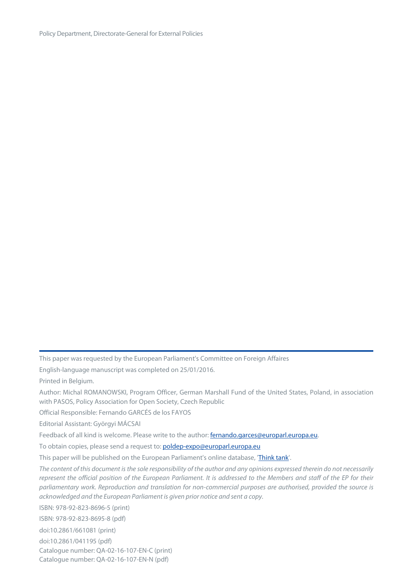This paper was requested by the European Parliament's Committee on Foreign Affaires

English-language manuscript was completed on 25/01/2016.

Printed in Belgium.

Author: Michal ROMANOWSKI, Program Officer, German Marshall Fund of the United States, Poland, in association with PASOS, Policy Association for Open Society, Czech Republic

Official Responsible: Fernando GARCÉS de los FAYOS

Editorial Assistant: Györgyi MÁCSAI

Feedback of all kind is welcome. Please write to the author: fernando.garces@europarl.europa.eu.

To obtain copies, please send a request to: poldep-expo@europarl.europa.eu

This paper will be published on the European Parliament's online database, ['Think tank'](http://www.europarl.europa.eu/thinktank/en/home.html).

*The content of this document is the sole responsibility of the author and any opinions expressed therein do not necessarily represent the official position of the European Parliament. It is addressed to the Members and staff of the EP for their parliamentary work. Reproduction and translation for non-commercial purposes are authorised, provided the source is acknowledged and the European Parliament is given prior notice and sent a copy.*

ISBN: 978-92-823-8696-5 (print)

ISBN: 978-92-823-8695-8 (pdf)

doi:10.2861/661081 (print)

doi:10.2861/041195 (pdf) Catalogue number: QA-02-16-107-EN-C (print) Catalogue number: QA-02-16-107-EN-N (pdf)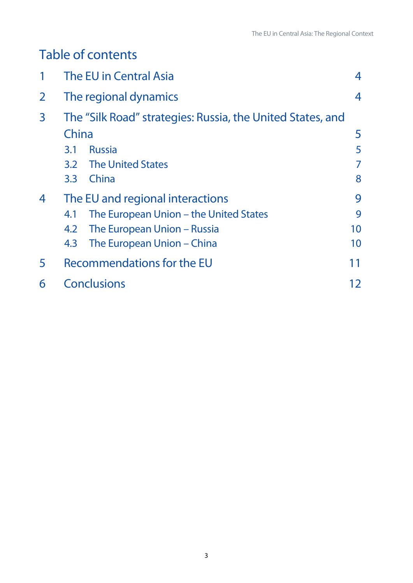## Table of contents

|                | The EU in Central Asia                                     | 4  |
|----------------|------------------------------------------------------------|----|
| $\overline{2}$ | The regional dynamics                                      | 4  |
| $\overline{3}$ | The "Silk Road" strategies: Russia, the United States, and |    |
|                | China                                                      | 5  |
|                | <b>Russia</b><br>3.1                                       | 5  |
|                | 3.2 The United States                                      | 7  |
|                | China<br>3.3                                               | 8  |
| 4              | The EU and regional interactions                           | 9  |
|                | The European Union – the United States<br>4.1              | 9  |
|                | The European Union – Russia<br>4.2                         | 10 |
|                | The European Union – China<br>4.3                          | 10 |
| 5              | Recommendations for the EU                                 |    |
| 6              | <b>Conclusions</b>                                         | 12 |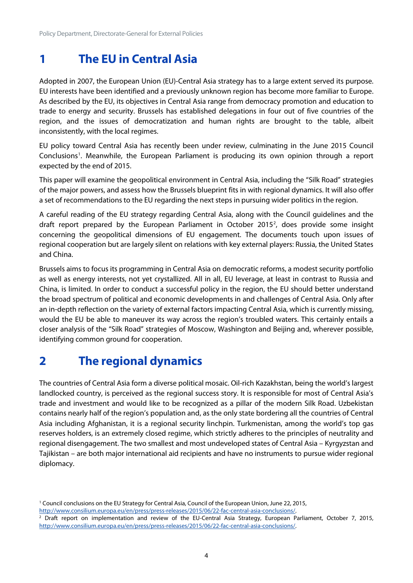## <span id="page-4-0"></span>**1 The EU in Central Asia**

Adopted in 2007, the European Union (EU)-Central Asia strategy has to a large extent served its purpose. EU interests have been identified and a previously unknown region has become more familiar to Europe. As described by the EU, its objectives in Central Asia range from democracy promotion and education to trade to energy and security. Brussels has established delegations in four out of five countries of the region, and the issues of democratization and human rights are brought to the table, albeit inconsistently, with the local regimes.

EU policy toward Central Asia has recently been under review, culminating in the June 2015 Council Conclusions<sup>[1](#page-4-2)</sup>. Meanwhile, the European Parliament is producing its own opinion through a report expected by the end of 2015.

This paper will examine the geopolitical environment in Central Asia, including the "Silk Road" strategies of the major powers, and assess how the Brussels blueprint fits in with regional dynamics. It will also offer a set of recommendations to the EU regarding the next steps in pursuing wider politics in the region.

A careful reading of the EU strategy regarding Central Asia, along with the Council guidelines and the draft report prepared by the European Parliament in October [2](#page-4-3)015<sup>2</sup>, does provide some insight concerning the geopolitical dimensions of EU engagement. The documents touch upon issues of regional cooperation but are largely silent on relations with key external players: Russia, the United States and China.

Brussels aims to focus its programming in Central Asia on democratic reforms, a modest security portfolio as well as energy interests, not yet crystallized. All in all, EU leverage, at least in contrast to Russia and China, is limited. In order to conduct a successful policy in the region, the EU should better understand the broad spectrum of political and economic developments in and challenges of Central Asia. Only after an in-depth reflection on the variety of external factors impacting Central Asia, which is currently missing, would the EU be able to maneuver its way across the region's troubled waters. This certainly entails a closer analysis of the "Silk Road" strategies of Moscow, Washington and Beijing and, wherever possible, identifying common ground for cooperation.

## <span id="page-4-1"></span>**2 The regional dynamics**

The countries of Central Asia form a diverse political mosaic. Oil-rich Kazakhstan, being the world's largest landlocked country, is perceived as the regional success story. It is responsible for most of Central Asia's trade and investment and would like to be recognized as a pillar of the modern Silk Road. Uzbekistan contains nearly half of the region's population and, as the only state bordering all the countries of Central Asia including Afghanistan, it is a regional security linchpin. Turkmenistan, among the world's top gas reserves holders, is an extremely closed regime, which strictly adheres to the principles of neutrality and regional disengagement. The two smallest and most undeveloped states of Central Asia – Kyrgyzstan and Tajikistan – are both major international aid recipients and have no instruments to pursue wider regional diplomacy.

[http://www.consilium.europa.eu/en/press/press-releases/2015/06/22-fac-central-asia-conclusions/.](http://www.consilium.europa.eu/en/press/press-releases/2015/06/22-fac-central-asia-conclusions/)

<span id="page-4-2"></span><sup>&</sup>lt;sup>1</sup> Council conclusions on the EU Strategy for Central Asia, Council of the European Union, June 22, 2015,

<span id="page-4-3"></span><sup>2</sup> Draft report on implementation and review of the EU-Central Asia Strategy, European Parliament, October 7, 2015, [http://www.consilium.europa.eu/en/press/press-releases/2015/06/22-fac-central-asia-conclusions/.](http://www.consilium.europa.eu/en/press/press-releases/2015/06/22-fac-central-asia-conclusions/)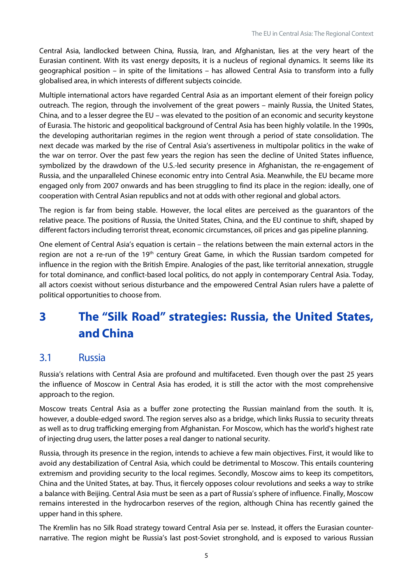Central Asia, landlocked between China, Russia, Iran, and Afghanistan, lies at the very heart of the Eurasian continent. With its vast energy deposits, it is a nucleus of regional dynamics. It seems like its geographical position – in spite of the limitations – has allowed Central Asia to transform into a fully globalised area, in which interests of different subjects coincide.

Multiple international actors have regarded Central Asia as an important element of their foreign policy outreach. The region, through the involvement of the great powers – mainly Russia, the United States, China, and to a lesser degree the EU – was elevated to the position of an economic and security keystone of Eurasia. The historic and geopolitical background of Central Asia has been highly volatile. In the 1990s, the developing authoritarian regimes in the region went through a period of state consolidation. The next decade was marked by the rise of Central Asia's assertiveness in multipolar politics in the wake of the war on terror. Over the past few years the region has seen the decline of United States influence, symbolized by the drawdown of the U.S.-led security presence in Afghanistan, the re-engagement of Russia, and the unparalleled Chinese economic entry into Central Asia. Meanwhile, the EU became more engaged only from 2007 onwards and has been struggling to find its place in the region: ideally, one of cooperation with Central Asian republics and not at odds with other regional and global actors.

The region is far from being stable. However, the local elites are perceived as the guarantors of the relative peace. The positions of Russia, the United States, China, and the EU continue to shift, shaped by different factors including terrorist threat, economic circumstances, oil prices and gas pipeline planning.

One element of Central Asia's equation is certain – the relations between the main external actors in the region are not a re-run of the 19<sup>th</sup> century Great Game, in which the Russian tsardom competed for influence in the region with the British Empire. Analogies of the past, like territorial annexation, struggle for total dominance, and conflict-based local politics, do not apply in contemporary Central Asia. Today, all actors coexist without serious disturbance and the empowered Central Asian rulers have a palette of political opportunities to choose from.

## <span id="page-5-0"></span>**3 The "Silk Road" strategies: Russia, the United States, and China**

#### <span id="page-5-1"></span>3.1 Russia

Russia's relations with Central Asia are profound and multifaceted. Even though over the past 25 years the influence of Moscow in Central Asia has eroded, it is still the actor with the most comprehensive approach to the region.

Moscow treats Central Asia as a buffer zone protecting the Russian mainland from the south. It is, however, a double-edged sword. The region serves also as a bridge, which links Russia to security threats as well as to drug trafficking emerging from Afghanistan. For Moscow, which has the world's highest rate of injecting drug users, the latter poses a real danger to national security.

Russia, through its presence in the region, intends to achieve a few main objectives. First, it would like to avoid any destabilization of Central Asia, which could be detrimental to Moscow. This entails countering extremism and providing security to the local regimes. Secondly, Moscow aims to keep its competitors, China and the United States, at bay. Thus, it fiercely opposes colour revolutions and seeks a way to strike a balance with Beijing. Central Asia must be seen as a part of Russia's sphere of influence. Finally, Moscow remains interested in the hydrocarbon reserves of the region, although China has recently gained the upper hand in this sphere.

The Kremlin has no Silk Road strategy toward Central Asia per se. Instead, it offers the Eurasian counternarrative. The region might be Russia's last post-Soviet stronghold, and is exposed to various Russian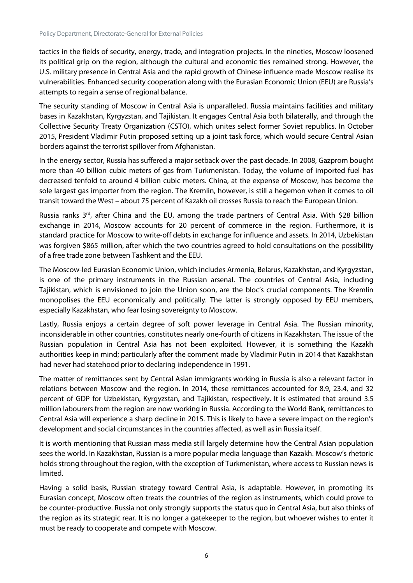tactics in the fields of security, energy, trade, and integration projects. In the nineties, Moscow loosened its political grip on the region, although the cultural and economic ties remained strong. However, the U.S. military presence in Central Asia and the rapid growth of Chinese influence made Moscow realise its vulnerabilities. Enhanced security cooperation along with the Eurasian Economic Union (EEU) are Russia's attempts to regain a sense of regional balance.

The security standing of Moscow in Central Asia is unparalleled. Russia maintains facilities and military bases in Kazakhstan, Kyrgyzstan, and Tajikistan. It engages Central Asia both bilaterally, and through the Collective Security Treaty Organization (CSTO), which unites select former Soviet republics. In October 2015, President Vladimir Putin proposed setting up a joint task force, which would secure Central Asian borders against the terrorist spillover from Afghanistan.

In the energy sector, Russia has suffered a major setback over the past decade. In 2008, Gazprom bought more than 40 billion cubic meters of gas from Turkmenistan. Today, the volume of imported fuel has decreased tenfold to around 4 billion cubic meters. China, at the expense of Moscow, has become the sole largest gas importer from the region. The Kremlin, however, is still a hegemon when it comes to oil transit toward the West – about 75 percent of Kazakh oil crosses Russia to reach the European Union.

Russia ranks  $3^{rd}$ , after China and the EU, among the trade partners of Central Asia. With \$28 billion exchange in 2014, Moscow accounts for 20 percent of commerce in the region. Furthermore, it is standard practice for Moscow to write-off debts in exchange for influence and assets. In 2014, Uzbekistan was forgiven \$865 million, after which the two countries agreed to hold consultations on the possibility of a free trade zone between Tashkent and the EEU.

The Moscow-led Eurasian Economic Union, which includes Armenia, Belarus, Kazakhstan, and Kyrgyzstan, is one of the primary instruments in the Russian arsenal. The countries of Central Asia, including Tajikistan, which is envisioned to join the Union soon, are the bloc's crucial components. The Kremlin monopolises the EEU economically and politically. The latter is strongly opposed by EEU members, especially Kazakhstan, who fear losing sovereignty to Moscow.

Lastly, Russia enjoys a certain degree of soft power leverage in Central Asia. The Russian minority, inconsiderable in other countries, constitutes nearly one-fourth of citizens in Kazakhstan. The issue of the Russian population in Central Asia has not been exploited. However, it is something the Kazakh authorities keep in mind; particularly after the comment made by Vladimir Putin in 2014 that Kazakhstan had never had statehood prior to declaring independence in 1991.

The matter of remittances sent by Central Asian immigrants working in Russia is also a relevant factor in relations between Moscow and the region. In 2014, these remittances accounted for 8.9, 23.4, and 32 percent of GDP for Uzbekistan, Kyrgyzstan, and Tajikistan, respectively. It is estimated that around 3.5 million labourers from the region are now working in Russia. According to the World Bank, remittances to Central Asia will experience a sharp decline in 2015. This is likely to have a severe impact on the region's development and social circumstances in the countries affected, as well as in Russia itself.

It is worth mentioning that Russian mass media still largely determine how the Central Asian population sees the world. In Kazakhstan, Russian is a more popular media language than Kazakh. Moscow's rhetoric holds strong throughout the region, with the exception of Turkmenistan, where access to Russian news is limited.

Having a solid basis, Russian strategy toward Central Asia, is adaptable. However, in promoting its Eurasian concept, Moscow often treats the countries of the region as instruments, which could prove to be counter-productive. Russia not only strongly supports the status quo in Central Asia, but also thinks of the region as its strategic rear. It is no longer a gatekeeper to the region, but whoever wishes to enter it must be ready to cooperate and compete with Moscow.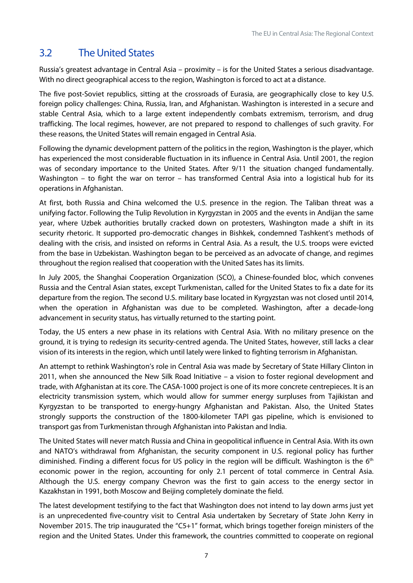## <span id="page-7-0"></span>3.2 The United States

Russia's greatest advantage in Central Asia – proximity – is for the United States a serious disadvantage. With no direct geographical access to the region, Washington is forced to act at a distance.

The five post-Soviet republics, sitting at the crossroads of Eurasia, are geographically close to key U.S. foreign policy challenges: China, Russia, Iran, and Afghanistan. Washington is interested in a secure and stable Central Asia, which to a large extent independently combats extremism, terrorism, and drug trafficking. The local regimes, however, are not prepared to respond to challenges of such gravity. For these reasons, the United States will remain engaged in Central Asia.

Following the dynamic development pattern of the politics in the region, Washington is the player, which has experienced the most considerable fluctuation in its influence in Central Asia. Until 2001, the region was of secondary importance to the United States. After 9/11 the situation changed fundamentally. Washington – to fight the war on terror – has transformed Central Asia into a logistical hub for its operations in Afghanistan.

At first, both Russia and China welcomed the U.S. presence in the region. The Taliban threat was a unifying factor. Following the Tulip Revolution in Kyrgyzstan in 2005 and the events in Andijan the same year, where Uzbek authorities brutally cracked down on protesters, Washington made a shift in its security rhetoric. It supported pro-democratic changes in Bishkek, condemned Tashkent's methods of dealing with the crisis, and insisted on reforms in Central Asia. As a result, the U.S. troops were evicted from the base in Uzbekistan. Washington began to be perceived as an advocate of change, and regimes throughout the region realised that cooperation with the United Sates has its limits.

In July 2005, the Shanghai Cooperation Organization (SCO), a Chinese-founded bloc, which convenes Russia and the Central Asian states, except Turkmenistan, called for the United States to fix a date for its departure from the region. The second U.S. military base located in Kyrgyzstan was not closed until 2014, when the operation in Afghanistan was due to be completed. Washington, after a decade-long advancement in security status, has virtually returned to the starting point.

Today, the US enters a new phase in its relations with Central Asia. With no military presence on the ground, it is trying to redesign its security-centred agenda. The United States, however, still lacks a clear vision of its interests in the region, which until lately were linked to fighting terrorism in Afghanistan.

An attempt to rethink Washington's role in Central Asia was made by Secretary of State Hillary Clinton in 2011, when she announced the New Silk Road Initiative – a vision to foster regional development and trade, with Afghanistan at its core. The CASA-1000 project is one of its more concrete centrepieces. It is an electricity transmission system, which would allow for summer energy surpluses from Tajikistan and Kyrgyzstan to be transported to energy-hungry Afghanistan and Pakistan. Also, the United States strongly supports the construction of the 1800-kilometer TAPI gas pipeline, which is envisioned to transport gas from Turkmenistan through Afghanistan into Pakistan and India.

The United States will never match Russia and China in geopolitical influence in Central Asia. With its own and NATO's withdrawal from Afghanistan, the security component in U.S. regional policy has further diminished. Finding a different focus for US policy in the region will be difficult. Washington is the 6<sup>th</sup> economic power in the region, accounting for only 2.1 percent of total commerce in Central Asia. Although the U.S. energy company Chevron was the first to gain access to the energy sector in Kazakhstan in 1991, both Moscow and Beijing completely dominate the field.

The latest development testifying to the fact that Washington does not intend to lay down arms just yet is an unprecedented five-country visit to Central Asia undertaken by Secretary of State John Kerry in November 2015. The trip inaugurated the "C5+1" format, which brings together foreign ministers of the region and the United States. Under this framework, the countries committed to cooperate on regional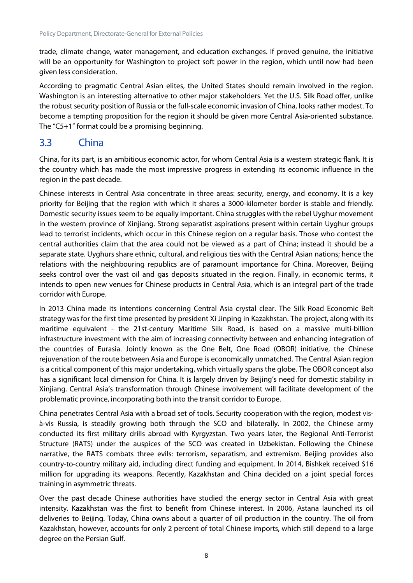trade, climate change, water management, and education exchanges. If proved genuine, the initiative will be an opportunity for Washington to project soft power in the region, which until now had been given less consideration.

According to pragmatic Central Asian elites, the United States should remain involved in the region. Washington is an interesting alternative to other major stakeholders. Yet the U.S. Silk Road offer, unlike the robust security position of Russia or the full-scale economic invasion of China, looks rather modest. To become a tempting proposition for the region it should be given more Central Asia-oriented substance. The "C5+1" format could be a promising beginning.

#### <span id="page-8-0"></span>3.3 China

China, for its part, is an ambitious economic actor, for whom Central Asia is a western strategic flank. It is the country which has made the most impressive progress in extending its economic influence in the region in the past decade.

Chinese interests in Central Asia concentrate in three areas: security, energy, and economy. It is a key priority for Beijing that the region with which it shares a 3000-kilometer border is stable and friendly. Domestic security issues seem to be equally important. China struggles with the rebel Uyghur movement in the western province of Xinjiang. Strong separatist aspirations present within certain Uyghur groups lead to terrorist incidents, which occur in this Chinese region on a regular basis. Those who contest the central authorities claim that the area could not be viewed as a part of China; instead it should be a separate state. Uyghurs share ethnic, cultural, and religious ties with the Central Asian nations; hence the relations with the neighbouring republics are of paramount importance for China. Moreover, Beijing seeks control over the vast oil and gas deposits situated in the region. Finally, in economic terms, it intends to open new venues for Chinese products in Central Asia, which is an integral part of the trade corridor with Europe.

In 2013 China made its intentions concerning Central Asia crystal clear. The Silk Road Economic Belt strategy was for the first time presented by president Xi Jinping in Kazakhstan. The project, along with its maritime equivalent - the 21st-century Maritime Silk Road, is based on a massive multi-billion infrastructure investment with the aim of increasing connectivity between and enhancing integration of the countries of Eurasia. Jointly known as the One Belt, One Road (OBOR) initiative, the Chinese rejuvenation of the route between Asia and Europe is economically unmatched. The Central Asian region is a critical component of this major undertaking, which virtually spans the globe. The OBOR concept also has a significant local dimension for China. It is largely driven by Beijing's need for domestic stability in Xinjiang. Central Asia's transformation through Chinese involvement will facilitate development of the problematic province, incorporating both into the transit corridor to Europe.

China penetrates Central Asia with a broad set of tools. Security cooperation with the region, modest visà-vis Russia, is steadily growing both through the SCO and bilaterally. In 2002, the Chinese army conducted its first military drills abroad with Kyrgyzstan. Two years later, the Regional Anti-Terrorist Structure (RATS) under the auspices of the SCO was created in Uzbekistan. Following the Chinese narrative, the RATS combats three evils: terrorism, separatism, and extremism. Beijing provides also country-to-country military aid, including direct funding and equipment. In 2014, Bishkek received \$16 million for upgrading its weapons. Recently, Kazakhstan and China decided on a joint special forces training in asymmetric threats.

Over the past decade Chinese authorities have studied the energy sector in Central Asia with great intensity. Kazakhstan was the first to benefit from Chinese interest. In 2006, Astana launched its oil deliveries to Beijing. Today, China owns about a quarter of oil production in the country. The oil from Kazakhstan, however, accounts for only 2 percent of total Chinese imports, which still depend to a large degree on the Persian Gulf.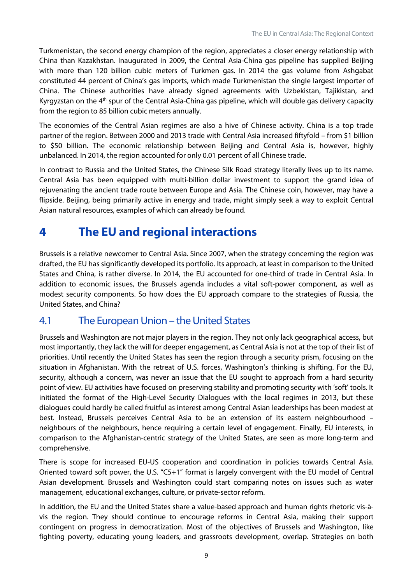Turkmenistan, the second energy champion of the region, appreciates a closer energy relationship with China than Kazakhstan. Inaugurated in 2009, the Central Asia-China gas pipeline has supplied Beijing with more than 120 billion cubic meters of Turkmen gas. In 2014 the gas volume from Ashgabat constituted 44 percent of China's gas imports, which made Turkmenistan the single largest importer of China. The Chinese authorities have already signed agreements with Uzbekistan, Tajikistan, and Kyrgyzstan on the 4<sup>th</sup> spur of the Central Asia-China gas pipeline, which will double gas delivery capacity from the region to 85 billion cubic meters annually.

The economies of the Central Asian regimes are also a hive of Chinese activity. China is a top trade partner of the region. Between 2000 and 2013 trade with Central Asia increased fiftyfold – from \$1 billion to \$50 billion. The economic relationship between Beijing and Central Asia is, however, highly unbalanced. In 2014, the region accounted for only 0.01 percent of all Chinese trade.

In contrast to Russia and the United States, the Chinese Silk Road strategy literally lives up to its name. Central Asia has been equipped with multi-billion dollar investment to support the grand idea of rejuvenating the ancient trade route between Europe and Asia. The Chinese coin, however, may have a flipside. Beijing, being primarily active in energy and trade, might simply seek a way to exploit Central Asian natural resources, examples of which can already be found.

## <span id="page-9-0"></span>**4 The EU and regional interactions**

Brussels is a relative newcomer to Central Asia. Since 2007, when the strategy concerning the region was drafted, the EU has significantly developed its portfolio. Its approach, at least in comparison to the United States and China, is rather diverse. In 2014, the EU accounted for one-third of trade in Central Asia. In addition to economic issues, the Brussels agenda includes a vital soft-power component, as well as modest security components. So how does the EU approach compare to the strategies of Russia, the United States, and China?

#### <span id="page-9-1"></span>4.1 The European Union – the United States

Brussels and Washington are not major players in the region. They not only lack geographical access, but most importantly, they lack the will for deeper engagement, as Central Asia is not at the top of their list of priorities. Until recently the United States has seen the region through a security prism, focusing on the situation in Afghanistan. With the retreat of U.S. forces, Washington's thinking is shifting. For the EU, security, although a concern, was never an issue that the EU sought to approach from a hard security point of view. EU activities have focused on preserving stability and promoting security with 'soft' tools. It initiated the format of the High-Level Security Dialogues with the local regimes in 2013, but these dialogues could hardly be called fruitful as interest among Central Asian leaderships has been modest at best. Instead, Brussels perceives Central Asia to be an extension of its eastern neighbourhood – neighbours of the neighbours, hence requiring a certain level of engagement. Finally, EU interests, in comparison to the Afghanistan-centric strategy of the United States, are seen as more long-term and comprehensive.

There is scope for increased EU-US cooperation and coordination in policies towards Central Asia. Oriented toward soft power, the U.S. "C5+1" format is largely convergent with the EU model of Central Asian development. Brussels and Washington could start comparing notes on issues such as water management, educational exchanges, culture, or private-sector reform.

In addition, the EU and the United States share a value-based approach and human rights rhetoric vis-àvis the region. They should continue to encourage reforms in Central Asia, making their support contingent on progress in democratization. Most of the objectives of Brussels and Washington, like fighting poverty, educating young leaders, and grassroots development, overlap. Strategies on both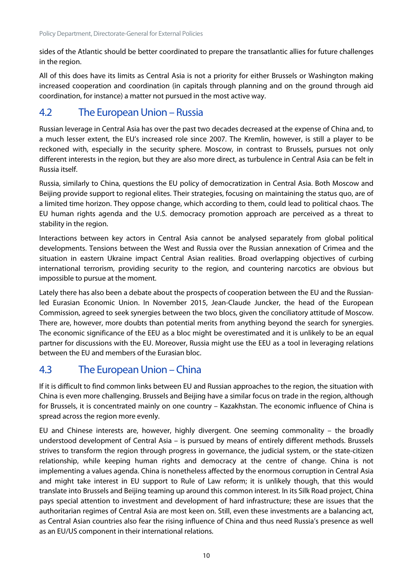sides of the Atlantic should be better coordinated to prepare the transatlantic allies for future challenges in the region.

All of this does have its limits as Central Asia is not a priority for either Brussels or Washington making increased cooperation and coordination (in capitals through planning and on the ground through aid coordination, for instance) a matter not pursued in the most active way.

### <span id="page-10-0"></span>4.2 The European Union – Russia

Russian leverage in Central Asia has over the past two decades decreased at the expense of China and, to a much lesser extent, the EU's increased role since 2007. The Kremlin, however, is still a player to be reckoned with, especially in the security sphere. Moscow, in contrast to Brussels, pursues not only different interests in the region, but they are also more direct, as turbulence in Central Asia can be felt in Russia itself.

Russia, similarly to China, questions the EU policy of democratization in Central Asia. Both Moscow and Beijing provide support to regional elites. Their strategies, focusing on maintaining the status quo, are of a limited time horizon. They oppose change, which according to them, could lead to political chaos. The EU human rights agenda and the U.S. democracy promotion approach are perceived as a threat to stability in the region.

Interactions between key actors in Central Asia cannot be analysed separately from global political developments. Tensions between the West and Russia over the Russian annexation of Crimea and the situation in eastern Ukraine impact Central Asian realities. Broad overlapping objectives of curbing international terrorism, providing security to the region, and countering narcotics are obvious but impossible to pursue at the moment.

Lately there has also been a debate about the prospects of cooperation between the EU and the Russianled Eurasian Economic Union. In November 2015, Jean-Claude Juncker, the head of the European Commission, agreed to seek synergies between the two blocs, given the conciliatory attitude of Moscow. There are, however, more doubts than potential merits from anything beyond the search for synergies. The economic significance of the EEU as a bloc might be overestimated and it is unlikely to be an equal partner for discussions with the EU. Moreover, Russia might use the EEU as a tool in leveraging relations between the EU and members of the Eurasian bloc.

## <span id="page-10-1"></span>4.3 The European Union – China

If it is difficult to find common links between EU and Russian approaches to the region, the situation with China is even more challenging. Brussels and Beijing have a similar focus on trade in the region, although for Brussels, it is concentrated mainly on one country – Kazakhstan. The economic influence of China is spread across the region more evenly.

EU and Chinese interests are, however, highly divergent. One seeming commonality – the broadly understood development of Central Asia – is pursued by means of entirely different methods. Brussels strives to transform the region through progress in governance, the judicial system, or the state-citizen relationship, while keeping human rights and democracy at the centre of change. China is not implementing a values agenda. China is nonetheless affected by the enormous corruption in Central Asia and might take interest in EU support to Rule of Law reform; it is unlikely though, that this would translate into Brussels and Beijing teaming up around this common interest. In its Silk Road project, China pays special attention to investment and development of hard infrastructure; these are issues that the authoritarian regimes of Central Asia are most keen on. Still, even these investments are a balancing act, as Central Asian countries also fear the rising influence of China and thus need Russia's presence as well as an EU/US component in their international relations.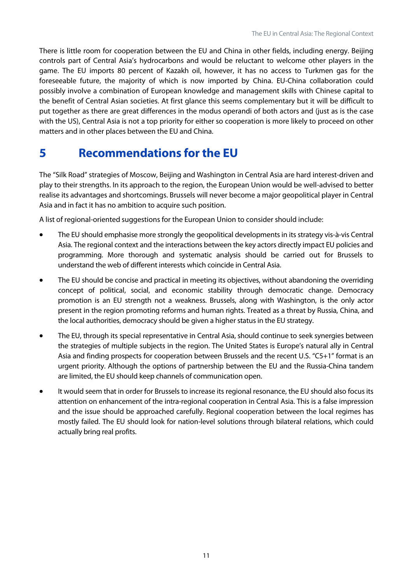There is little room for cooperation between the EU and China in other fields, including energy. Beijing controls part of Central Asia's hydrocarbons and would be reluctant to welcome other players in the game. The EU imports 80 percent of Kazakh oil, however, it has no access to Turkmen gas for the foreseeable future, the majority of which is now imported by China. EU-China collaboration could possibly involve a combination of European knowledge and management skills with Chinese capital to the benefit of Central Asian societies. At first glance this seems complementary but it will be difficult to put together as there are great differences in the modus operandi of both actors and (just as is the case with the US), Central Asia is not a top priority for either so cooperation is more likely to proceed on other matters and in other places between the EU and China.

## <span id="page-11-0"></span>**5 Recommendations for the EU**

The "Silk Road" strategies of Moscow, Beijing and Washington in Central Asia are hard interest-driven and play to their strengths. In its approach to the region, the European Union would be well-advised to better realise its advantages and shortcomings. Brussels will never become a major geopolitical player in Central Asia and in fact it has no ambition to acquire such position.

A list of regional-oriented suggestions for the European Union to consider should include:

- The EU should emphasise more strongly the geopolitical developments in its strategy vis-à-vis Central Asia. The regional context and the interactions between the key actors directly impact EU policies and programming. More thorough and systematic analysis should be carried out for Brussels to understand the web of different interests which coincide in Central Asia.
- The EU should be concise and practical in meeting its objectives, without abandoning the overriding concept of political, social, and economic stability through democratic change. Democracy promotion is an EU strength not a weakness. Brussels, along with Washington, is the only actor present in the region promoting reforms and human rights. Treated as a threat by Russia, China, and the local authorities, democracy should be given a higher status in the EU strategy.
- The EU, through its special representative in Central Asia, should continue to seek synergies between the strategies of multiple subjects in the region. The United States is Europe's natural ally in Central Asia and finding prospects for cooperation between Brussels and the recent U.S. "C5+1" format is an urgent priority. Although the options of partnership between the EU and the Russia-China tandem are limited, the EU should keep channels of communication open.
- It would seem that in order for Brussels to increase its regional resonance, the EU should also focus its attention on enhancement of the intra-regional cooperation in Central Asia. This is a false impression and the issue should be approached carefully. Regional cooperation between the local regimes has mostly failed. The EU should look for nation-level solutions through bilateral relations, which could actually bring real profits.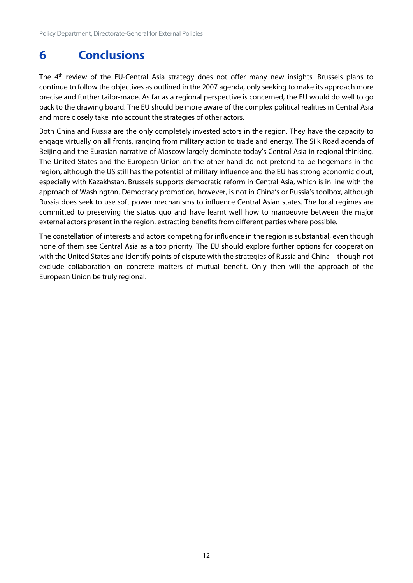## <span id="page-12-0"></span>**6 Conclusions**

The 4<sup>th</sup> review of the EU-Central Asia strategy does not offer many new insights. Brussels plans to continue to follow the objectives as outlined in the 2007 agenda, only seeking to make its approach more precise and further tailor-made. As far as a regional perspective is concerned, the EU would do well to go back to the drawing board. The EU should be more aware of the complex political realities in Central Asia and more closely take into account the strategies of other actors.

Both China and Russia are the only completely invested actors in the region. They have the capacity to engage virtually on all fronts, ranging from military action to trade and energy. The Silk Road agenda of Beijing and the Eurasian narrative of Moscow largely dominate today's Central Asia in regional thinking. The United States and the European Union on the other hand do not pretend to be hegemons in the region, although the US still has the potential of military influence and the EU has strong economic clout, especially with Kazakhstan. Brussels supports democratic reform in Central Asia, which is in line with the approach of Washington. Democracy promotion, however, is not in China's or Russia's toolbox, although Russia does seek to use soft power mechanisms to influence Central Asian states. The local regimes are committed to preserving the status quo and have learnt well how to manoeuvre between the major external actors present in the region, extracting benefits from different parties where possible.

The constellation of interests and actors competing for influence in the region is substantial, even though none of them see Central Asia as a top priority. The EU should explore further options for cooperation with the United States and identify points of dispute with the strategies of Russia and China – though not exclude collaboration on concrete matters of mutual benefit. Only then will the approach of the European Union be truly regional.